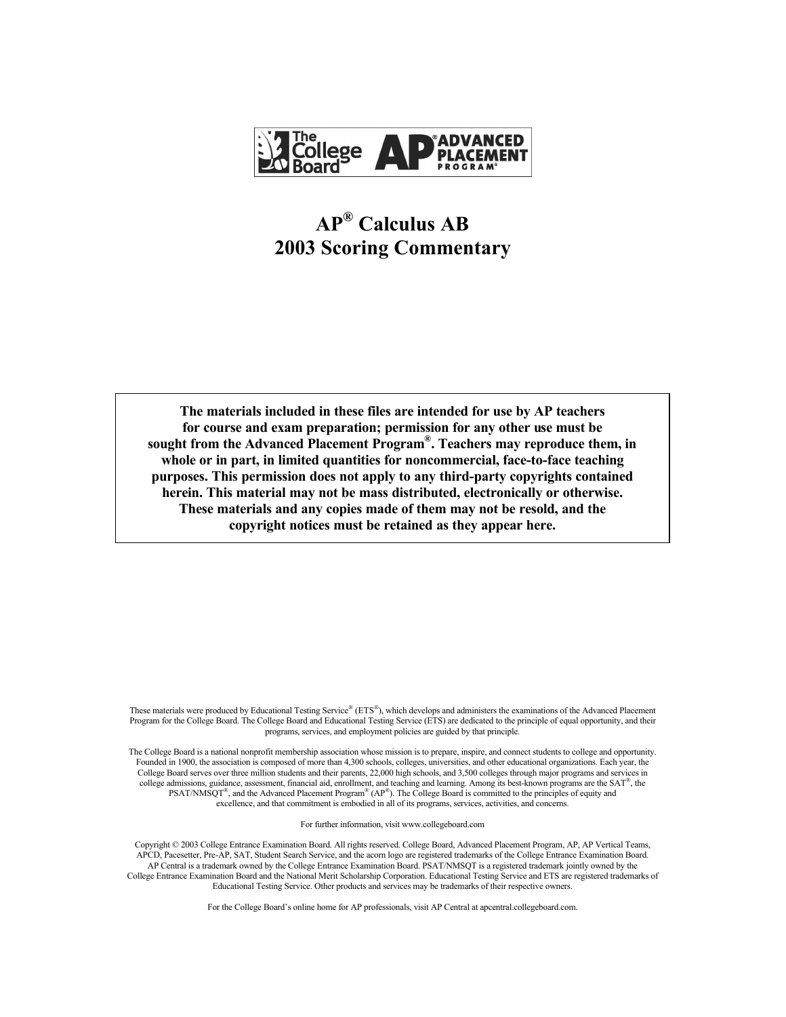

# **AP® Calculus AB 2003 Scoring Commentary**

**The materials included in these files are intended for use by AP teachers for course and exam preparation; permission for any other use must be sought from the Advanced Placement Program® . Teachers may reproduce them, in whole or in part, in limited quantities for noncommercial, face-to-face teaching purposes. This permission does not apply to any third-party copyrights contained herein. This material may not be mass distributed, electronically or otherwise. These materials and any copies made of them may not be resold, and the copyright notices must be retained as they appear here.**

These materials were produced by Educational Testing Service® (ETS®), which develops and administers the examinations of the Advanced Placement Program for the College Board. The College Board and Educational Testing Service (ETS) are dedicated to the principle of equal opportunity, and their programs, services, and employment policies are guided by that principle.

The College Board is a national nonprofit membership association whose mission is to prepare, inspire, and connect students to college and opportunity. Founded in 1900, the association is composed of more than 4,300 schools, colleges, universities, and other educational organizations. Each year, the College Board serves over three million students and their parents, 22,000 high schools, and 3,500 colleges through major programs and services in college admissions, guidance, assessment, financial aid, enrollment, and teaching and learning. Among its best-known programs are the SAT<sup>®</sup>, the  $PSAT/NM\,^{\circ}$ , and the Advanced Placement Program<sup>®</sup> (AP<sup>®</sup>). The College Board is committed to the principles of equity and excellence, and that commitment is embodied in all of its programs, services, activities, and concerns.

For further information, visit www.collegeboard.com

Copyright © 2003 College Entrance Examination Board. All rights reserved. College Board, Advanced Placement Program, AP, AP Vertical Teams, APCD, Pacesetter, Pre-AP, SAT, Student Search Service, and the acorn logo are registered trademarks of the College Entrance Examination Board. AP Central is a trademark owned by the College Entrance Examination Board. PSAT/NMSQT is a registered trademark jointly owned by the College Entrance Examination Board and the National Merit Scholarship Corporation. Educational Testing Service and ETS are registered trademarks of Educational Testing Service. Other products and services may be trademarks of their respective owners.

For the College Board's online home for AP professionals, visit AP Central at apcentral.collegeboard.com.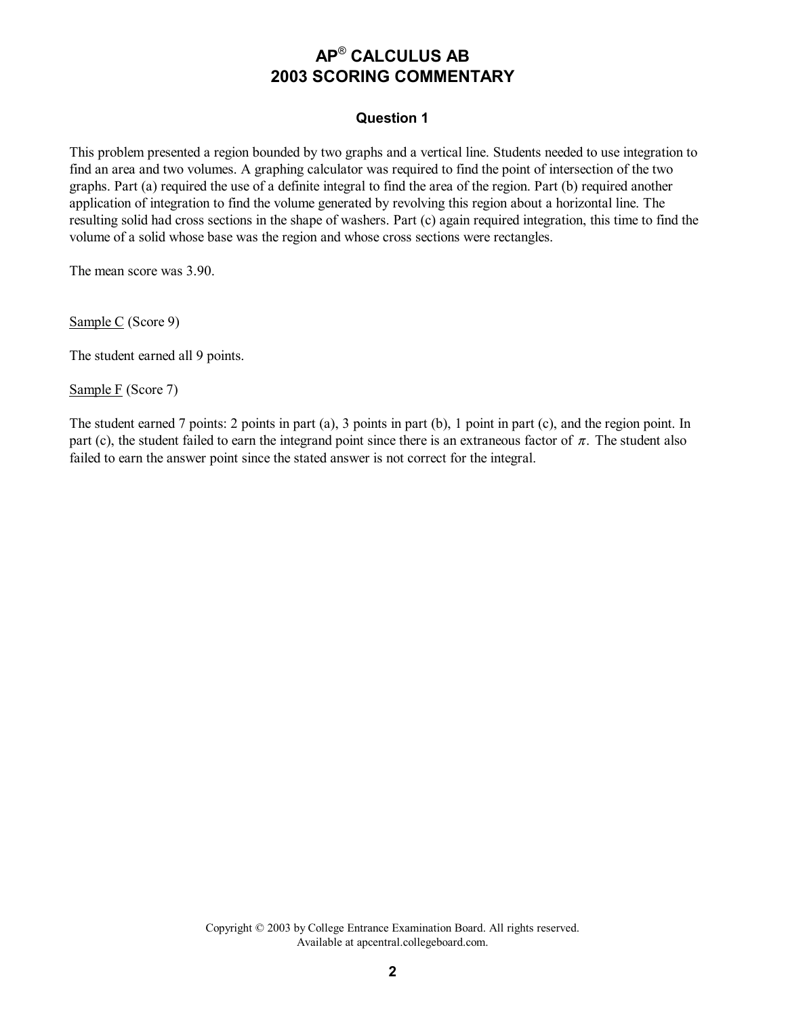#### **Question 1**

This problem presented a region bounded by two graphs and a vertical line. Students needed to use integration to find an area and two volumes. A graphing calculator was required to find the point of intersection of the two graphs. Part (a) required the use of a definite integral to find the area of the region. Part (b) required another application of integration to find the volume generated by revolving this region about a horizontal line. The resulting solid had cross sections in the shape of washers. Part (c) again required integration, this time to find the volume of a solid whose base was the region and whose cross sections were rectangles.

The mean score was 3.90.

Sample C (Score 9)

The student earned all 9 points.

Sample F (Score 7)

The student earned 7 points: 2 points in part (a), 3 points in part (b), 1 point in part (c), and the region point. In part (c), the student failed to earn the integrand point since there is an extraneous factor of  $\pi$ . The student also failed to earn the answer point since the stated answer is not correct for the integral.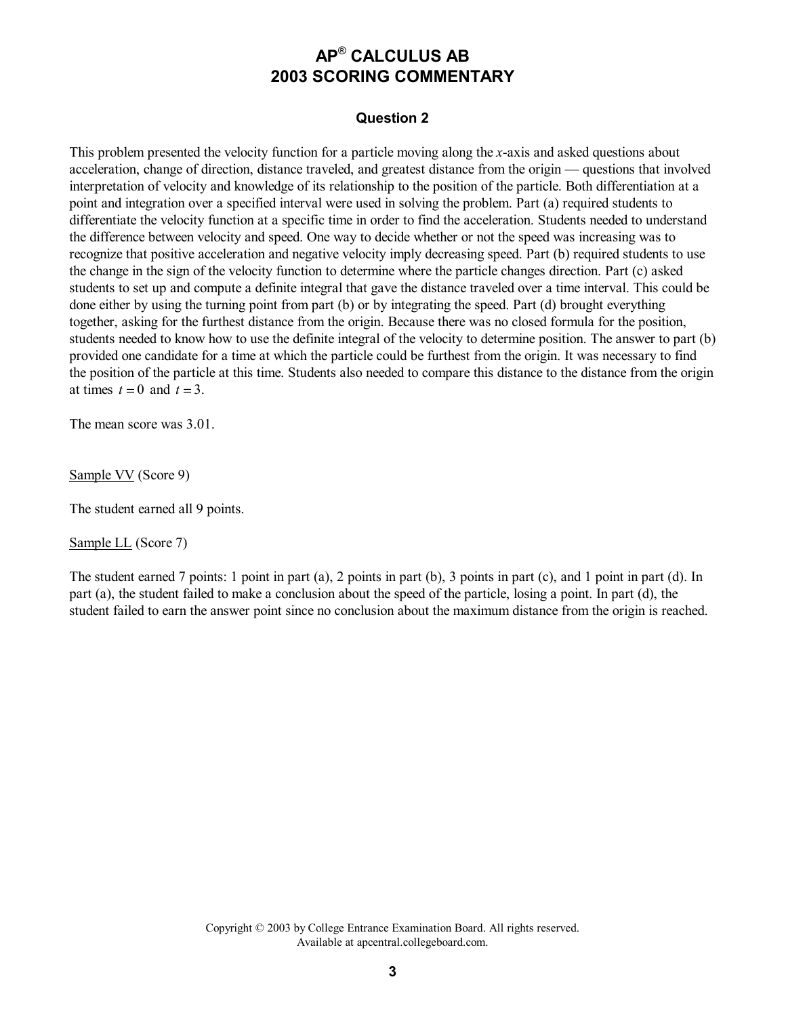#### **Question 2**

This problem presented the velocity function for a particle moving along the *x*-axis and asked questions about acceleration, change of direction, distance traveled, and greatest distance from the origin — questions that involved interpretation of velocity and knowledge of its relationship to the position of the particle. Both differentiation at a point and integration over a specified interval were used in solving the problem. Part (a) required students to differentiate the velocity function at a specific time in order to find the acceleration. Students needed to understand the difference between velocity and speed. One way to decide whether or not the speed was increasing was to recognize that positive acceleration and negative velocity imply decreasing speed. Part (b) required students to use the change in the sign of the velocity function to determine where the particle changes direction. Part (c) asked students to set up and compute a definite integral that gave the distance traveled over a time interval. This could be done either by using the turning point from part (b) or by integrating the speed. Part (d) brought everything together, asking for the furthest distance from the origin. Because there was no closed formula for the position, students needed to know how to use the definite integral of the velocity to determine position. The answer to part (b) provided one candidate for a time at which the particle could be furthest from the origin. It was necessary to find the position of the particle at this time. Students also needed to compare this distance to the distance from the origin at times  $t = 0$  and  $t = 3$ .

The mean score was 3.01.

Sample VV (Score 9)

The student earned all 9 points.

Sample LL (Score 7)

The student earned 7 points: 1 point in part (a), 2 points in part (b), 3 points in part (c), and 1 point in part (d). In part (a), the student failed to make a conclusion about the speed of the particle, losing a point. In part (d), the student failed to earn the answer point since no conclusion about the maximum distance from the origin is reached.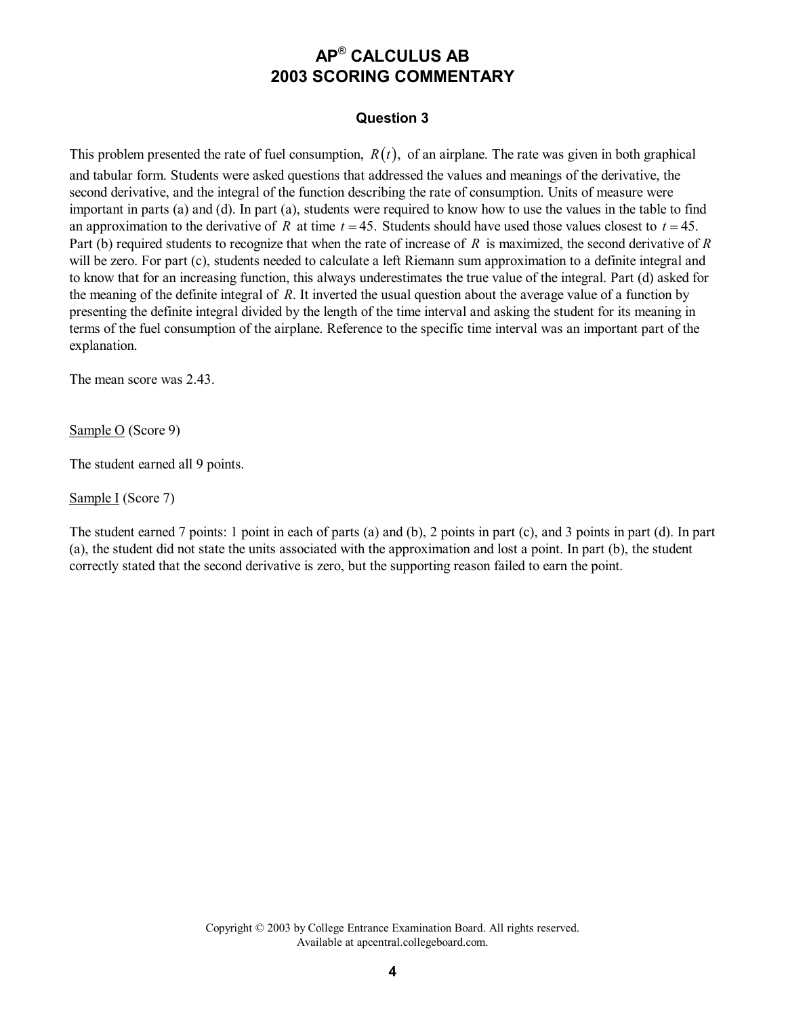#### **Question 3**

This problem presented the rate of fuel consumption,  $R(t)$ , of an airplane. The rate was given in both graphical and tabular form. Students were asked questions that addressed the values and meanings of the derivative, the second derivative, and the integral of the function describing the rate of consumption. Units of measure were important in parts (a) and (d). In part (a), students were required to know how to use the values in the table to find an approximation to the derivative of *R* at time  $t = 45$ . Students should have used those values closest to  $t = 45$ . Part (b) required students to recognize that when the rate of increase of *R* is maximized, the second derivative of *R*  will be zero. For part (c), students needed to calculate a left Riemann sum approximation to a definite integral and to know that for an increasing function, this always underestimates the true value of the integral. Part (d) asked for the meaning of the definite integral of *R*. It inverted the usual question about the average value of a function by presenting the definite integral divided by the length of the time interval and asking the student for its meaning in terms of the fuel consumption of the airplane. Reference to the specific time interval was an important part of the explanation.

The mean score was 2.43.

Sample O (Score 9)

The student earned all 9 points.

Sample I (Score 7)

The student earned 7 points: 1 point in each of parts (a) and (b), 2 points in part (c), and 3 points in part (d). In part (a), the student did not state the units associated with the approximation and lost a point. In part (b), the student correctly stated that the second derivative is zero, but the supporting reason failed to earn the point.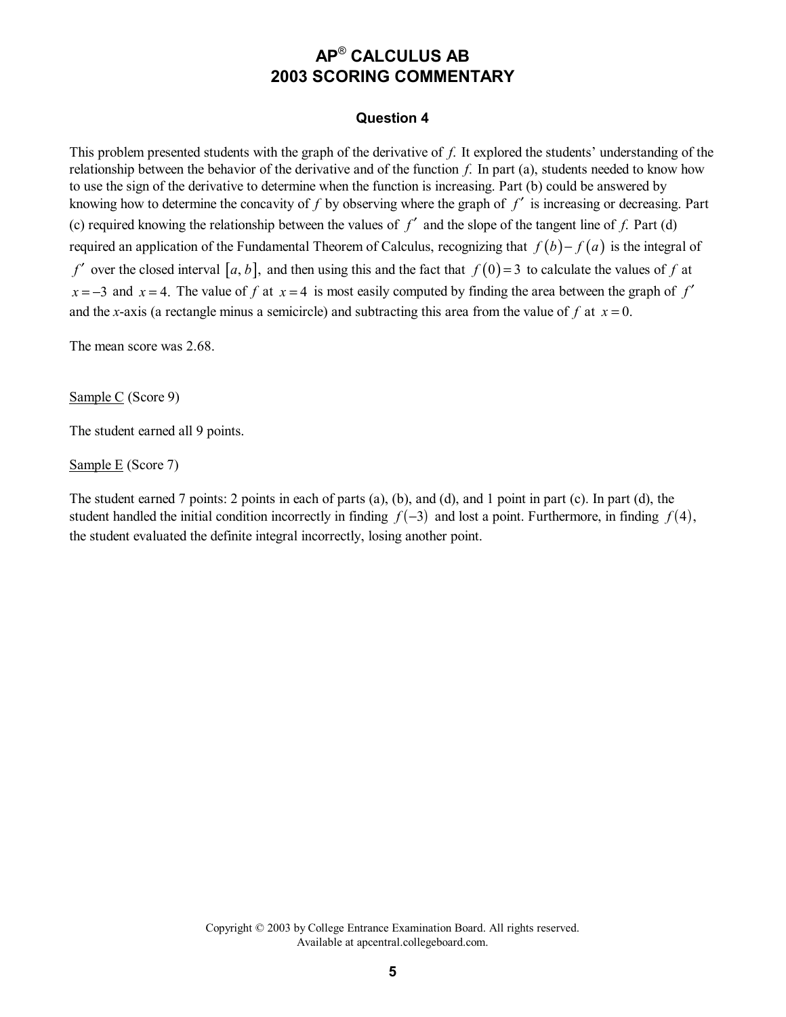#### **Question 4**

This problem presented students with the graph of the derivative of *f*. It explored the students' understanding of the relationship between the behavior of the derivative and of the function *f*. In part (a), students needed to know how to use the sign of the derivative to determine when the function is increasing. Part (b) could be answered by knowing how to determine the concavity of *f* by observing where the graph of *f* ′ is increasing or decreasing. Part (c) required knowing the relationship between the values of  $f'$  and the slope of the tangent line of  $f$ . Part (d) required an application of the Fundamental Theorem of Calculus, recognizing that  $f(b) - f(a)$  is the integral of *f* over the closed interval [a, b], and then using this and the fact that  $f(0)=3$  to calculate the values of f at  $x = -3$  and  $x = 4$ . The value of *f* at  $x = 4$  is most easily computed by finding the area between the graph of *f'* and the *x*-axis (a rectangle minus a semicircle) and subtracting this area from the value of f at  $x = 0$ .

The mean score was 2.68.

Sample C (Score 9)

The student earned all 9 points.

Sample E (Score 7)

The student earned 7 points: 2 points in each of parts (a), (b), and (d), and 1 point in part (c). In part (d), the student handled the initial condition incorrectly in finding  $f(-3)$  and lost a point. Furthermore, in finding  $f(4)$ , the student evaluated the definite integral incorrectly, losing another point.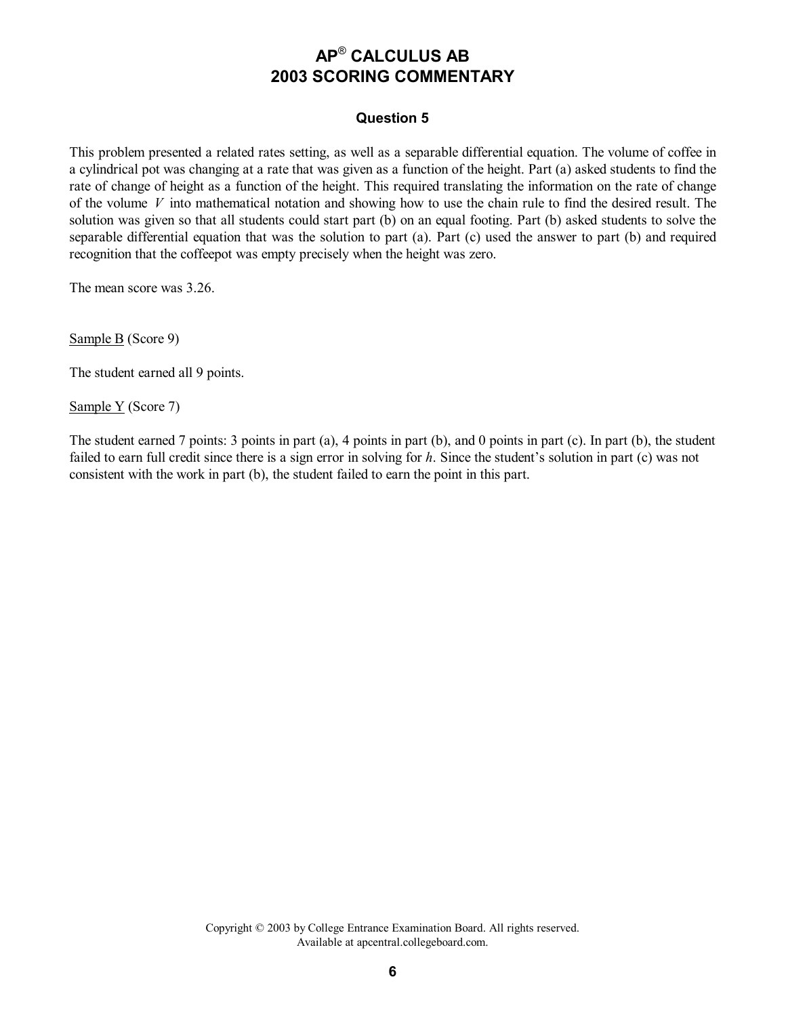#### **Question 5**

This problem presented a related rates setting, as well as a separable differential equation. The volume of coffee in a cylindrical pot was changing at a rate that was given as a function of the height. Part (a) asked students to find the rate of change of height as a function of the height. This required translating the information on the rate of change of the volume *V* into mathematical notation and showing how to use the chain rule to find the desired result. The solution was given so that all students could start part (b) on an equal footing. Part (b) asked students to solve the separable differential equation that was the solution to part (a). Part (c) used the answer to part (b) and required recognition that the coffeepot was empty precisely when the height was zero.

The mean score was 3.26.

Sample B (Score 9)

The student earned all 9 points.

Sample Y (Score 7)

The student earned 7 points: 3 points in part (a), 4 points in part (b), and 0 points in part (c). In part (b), the student failed to earn full credit since there is a sign error in solving for *h*. Since the student's solution in part (c) was not consistent with the work in part (b), the student failed to earn the point in this part.